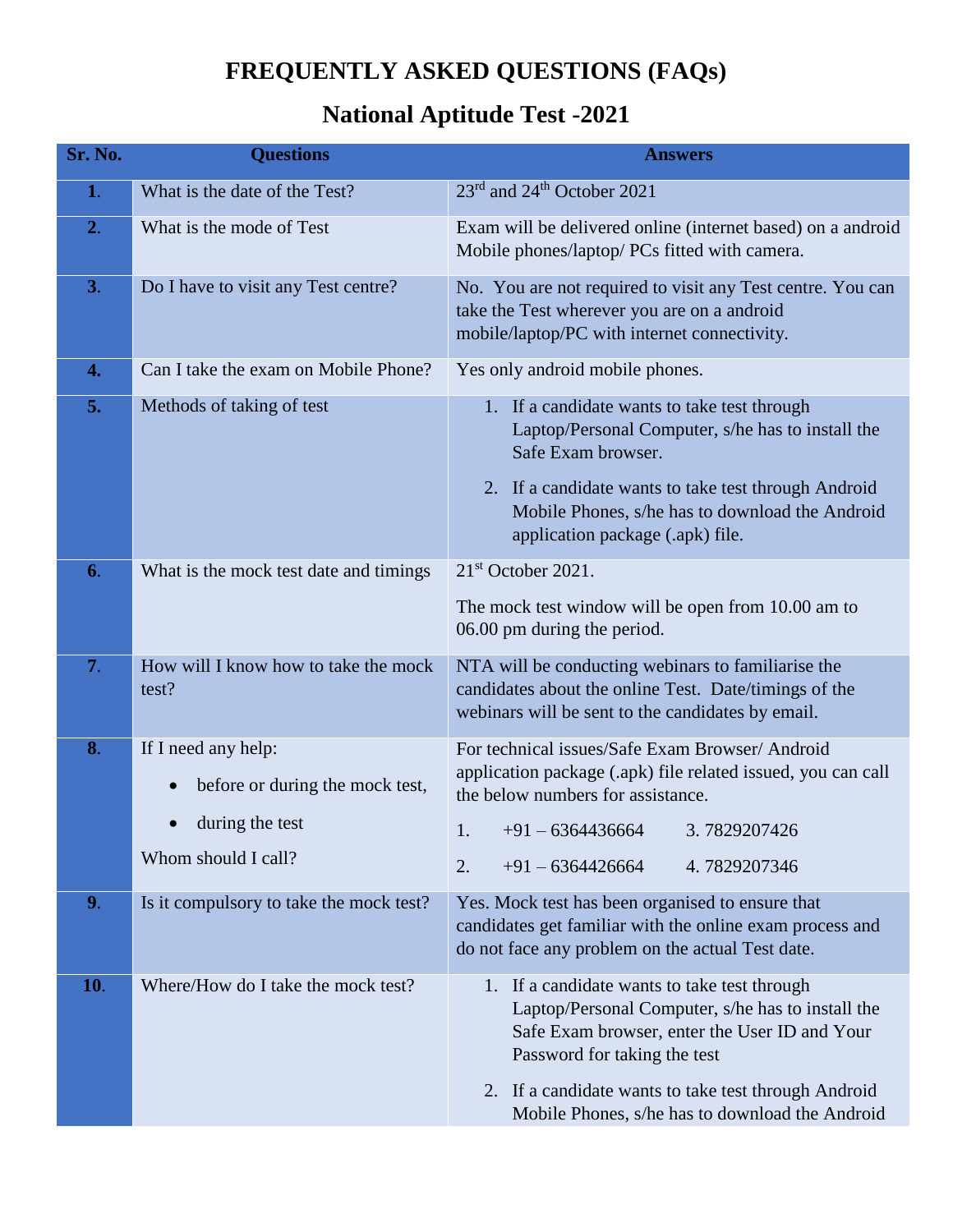## **FREQUENTLY ASKED QUESTIONS (FAQs)**

## **National Aptitude Test -2021**

| Sr. No.          | <b>Questions</b>                                                                                 | <b>Answers</b>                                                                                                                                                                                                                                                                                |
|------------------|--------------------------------------------------------------------------------------------------|-----------------------------------------------------------------------------------------------------------------------------------------------------------------------------------------------------------------------------------------------------------------------------------------------|
| 1.               | What is the date of the Test?                                                                    | 23 <sup>rd</sup> and 24 <sup>th</sup> October 2021                                                                                                                                                                                                                                            |
| 2.               | What is the mode of Test                                                                         | Exam will be delivered online (internet based) on a android<br>Mobile phones/laptop/ PCs fitted with camera.                                                                                                                                                                                  |
| 3.               | Do I have to visit any Test centre?                                                              | No. You are not required to visit any Test centre. You can<br>take the Test wherever you are on a android<br>mobile/laptop/PC with internet connectivity.                                                                                                                                     |
| $\overline{4}$ . | Can I take the exam on Mobile Phone?                                                             | Yes only android mobile phones.                                                                                                                                                                                                                                                               |
| 5.               | Methods of taking of test                                                                        | 1. If a candidate wants to take test through<br>Laptop/Personal Computer, s/he has to install the<br>Safe Exam browser.<br>2. If a candidate wants to take test through Android<br>Mobile Phones, s/he has to download the Android<br>application package (.apk) file.                        |
| 6.               | What is the mock test date and timings                                                           | 21 <sup>st</sup> October 2021.                                                                                                                                                                                                                                                                |
|                  |                                                                                                  | The mock test window will be open from 10.00 am to<br>06.00 pm during the period.                                                                                                                                                                                                             |
| 7.               | How will I know how to take the mock<br>test?                                                    | NTA will be conducting webinars to familiarise the<br>candidates about the online Test. Date/timings of the<br>webinars will be sent to the candidates by email.                                                                                                                              |
| 8.               | If I need any help:<br>before or during the mock test,<br>during the test<br>Whom should I call? | For technical issues/Safe Exam Browser/ Android<br>application package (.apk) file related issued, you can call<br>the below numbers for assistance.<br>$+91 - 6364436664$<br>1.<br>3.7829207426<br>2.<br>$+91 - 6364426664$<br>4.7829207346                                                  |
| 9.               | Is it compulsory to take the mock test?                                                          | Yes. Mock test has been organised to ensure that<br>candidates get familiar with the online exam process and<br>do not face any problem on the actual Test date.                                                                                                                              |
| 10.              | Where/How do I take the mock test?                                                               | 1. If a candidate wants to take test through<br>Laptop/Personal Computer, s/he has to install the<br>Safe Exam browser, enter the User ID and Your<br>Password for taking the test<br>2. If a candidate wants to take test through Android<br>Mobile Phones, s/he has to download the Android |